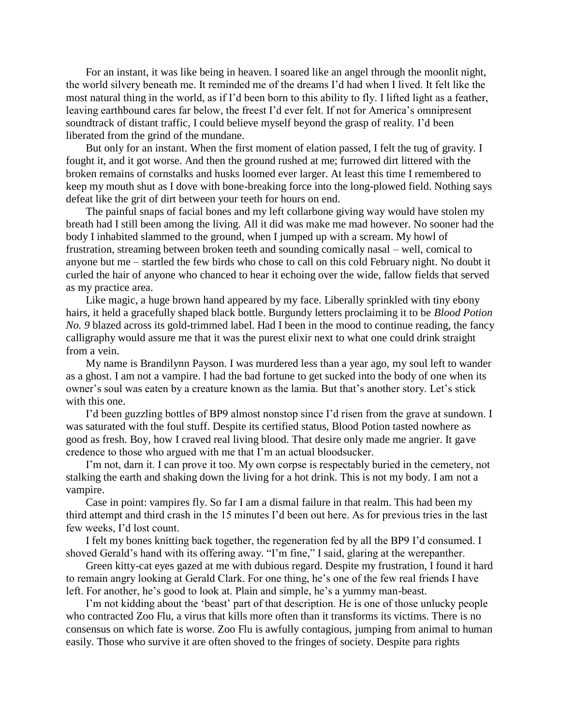For an instant, it was like being in heaven. I soared like an angel through the moonlit night, the world silvery beneath me. It reminded me of the dreams I'd had when I lived. It felt like the most natural thing in the world, as if I'd been born to this ability to fly. I lifted light as a feather, leaving earthbound cares far below, the freest I'd ever felt. If not for America's omnipresent soundtrack of distant traffic, I could believe myself beyond the grasp of reality. I'd been liberated from the grind of the mundane.

But only for an instant. When the first moment of elation passed, I felt the tug of gravity. I fought it, and it got worse. And then the ground rushed at me; furrowed dirt littered with the broken remains of cornstalks and husks loomed ever larger. At least this time I remembered to keep my mouth shut as I dove with bone-breaking force into the long-plowed field. Nothing says defeat like the grit of dirt between your teeth for hours on end.

The painful snaps of facial bones and my left collarbone giving way would have stolen my breath had I still been among the living. All it did was make me mad however. No sooner had the body I inhabited slammed to the ground, when I jumped up with a scream. My howl of frustration, streaming between broken teeth and sounding comically nasal – well, comical to anyone but me – startled the few birds who chose to call on this cold February night. No doubt it curled the hair of anyone who chanced to hear it echoing over the wide, fallow fields that served as my practice area.

Like magic, a huge brown hand appeared by my face. Liberally sprinkled with tiny ebony hairs, it held a gracefully shaped black bottle. Burgundy letters proclaiming it to be *Blood Potion No. 9* blazed across its gold-trimmed label. Had I been in the mood to continue reading, the fancy calligraphy would assure me that it was the purest elixir next to what one could drink straight from a vein.

My name is Brandilynn Payson. I was murdered less than a year ago, my soul left to wander as a ghost. I am not a vampire. I had the bad fortune to get sucked into the body of one when its owner's soul was eaten by a creature known as the lamia. But that's another story. Let's stick with this one.

I'd been guzzling bottles of BP9 almost nonstop since I'd risen from the grave at sundown. I was saturated with the foul stuff. Despite its certified status, Blood Potion tasted nowhere as good as fresh. Boy, how I craved real living blood. That desire only made me angrier. It gave credence to those who argued with me that I'm an actual bloodsucker.

I'm not, darn it. I can prove it too. My own corpse is respectably buried in the cemetery, not stalking the earth and shaking down the living for a hot drink. This is not my body. I am not a vampire.

Case in point: vampires fly. So far I am a dismal failure in that realm. This had been my third attempt and third crash in the 15 minutes I'd been out here. As for previous tries in the last few weeks, I'd lost count.

I felt my bones knitting back together, the regeneration fed by all the BP9 I'd consumed. I shoved Gerald's hand with its offering away. "I'm fine," I said, glaring at the werepanther.

Green kitty-cat eyes gazed at me with dubious regard. Despite my frustration, I found it hard to remain angry looking at Gerald Clark. For one thing, he's one of the few real friends I have left. For another, he's good to look at. Plain and simple, he's a yummy man-beast.

I'm not kidding about the 'beast' part of that description. He is one of those unlucky people who contracted Zoo Flu, a virus that kills more often than it transforms its victims. There is no consensus on which fate is worse. Zoo Flu is awfully contagious, jumping from animal to human easily. Those who survive it are often shoved to the fringes of society. Despite para rights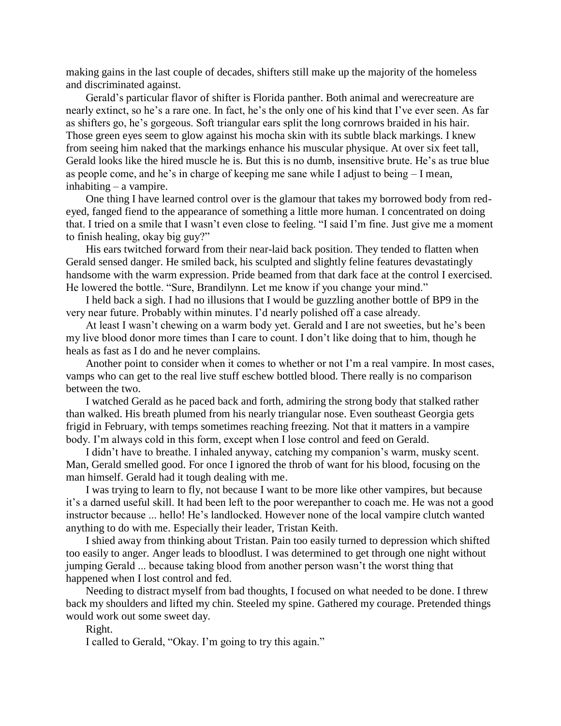making gains in the last couple of decades, shifters still make up the majority of the homeless and discriminated against.

Gerald's particular flavor of shifter is Florida panther. Both animal and werecreature are nearly extinct, so he's a rare one. In fact, he's the only one of his kind that I've ever seen. As far as shifters go, he's gorgeous. Soft triangular ears split the long cornrows braided in his hair. Those green eyes seem to glow against his mocha skin with its subtle black markings. I knew from seeing him naked that the markings enhance his muscular physique. At over six feet tall, Gerald looks like the hired muscle he is. But this is no dumb, insensitive brute. He's as true blue as people come, and he's in charge of keeping me sane while I adjust to being – I mean, inhabiting – a vampire.

One thing I have learned control over is the glamour that takes my borrowed body from redeyed, fanged fiend to the appearance of something a little more human. I concentrated on doing that. I tried on a smile that I wasn't even close to feeling. "I said I'm fine. Just give me a moment to finish healing, okay big guy?"

His ears twitched forward from their near-laid back position. They tended to flatten when Gerald sensed danger. He smiled back, his sculpted and slightly feline features devastatingly handsome with the warm expression. Pride beamed from that dark face at the control I exercised. He lowered the bottle. "Sure, Brandilynn. Let me know if you change your mind."

I held back a sigh. I had no illusions that I would be guzzling another bottle of BP9 in the very near future. Probably within minutes. I'd nearly polished off a case already.

At least I wasn't chewing on a warm body yet. Gerald and I are not sweeties, but he's been my live blood donor more times than I care to count. I don't like doing that to him, though he heals as fast as I do and he never complains.

Another point to consider when it comes to whether or not I'm a real vampire. In most cases, vamps who can get to the real live stuff eschew bottled blood. There really is no comparison between the two.

I watched Gerald as he paced back and forth, admiring the strong body that stalked rather than walked. His breath plumed from his nearly triangular nose. Even southeast Georgia gets frigid in February, with temps sometimes reaching freezing. Not that it matters in a vampire body. I'm always cold in this form, except when I lose control and feed on Gerald.

I didn't have to breathe. I inhaled anyway, catching my companion's warm, musky scent. Man, Gerald smelled good. For once I ignored the throb of want for his blood, focusing on the man himself. Gerald had it tough dealing with me.

I was trying to learn to fly, not because I want to be more like other vampires, but because it's a darned useful skill. It had been left to the poor werepanther to coach me. He was not a good instructor because ... hello! He's landlocked. However none of the local vampire clutch wanted anything to do with me. Especially their leader, Tristan Keith.

I shied away from thinking about Tristan. Pain too easily turned to depression which shifted too easily to anger. Anger leads to bloodlust. I was determined to get through one night without jumping Gerald ... because taking blood from another person wasn't the worst thing that happened when I lost control and fed.

Needing to distract myself from bad thoughts, I focused on what needed to be done. I threw back my shoulders and lifted my chin. Steeled my spine. Gathered my courage. Pretended things would work out some sweet day.

Right.

I called to Gerald, "Okay. I'm going to try this again."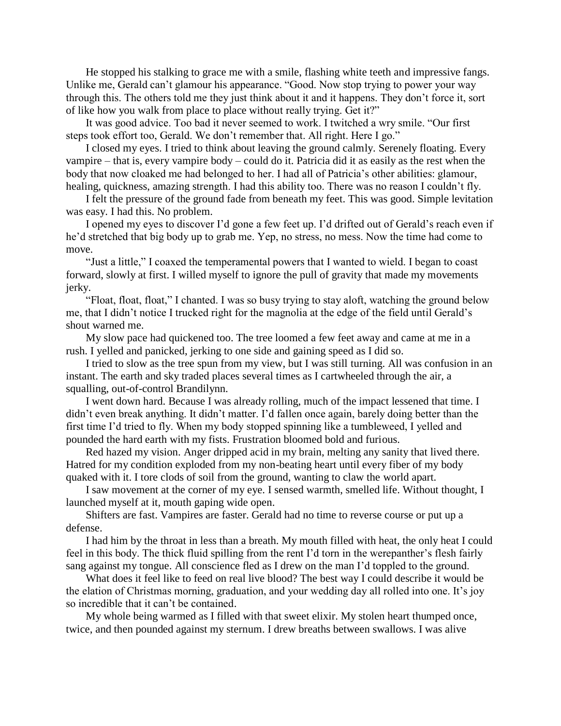He stopped his stalking to grace me with a smile, flashing white teeth and impressive fangs. Unlike me, Gerald can't glamour his appearance. "Good. Now stop trying to power your way through this. The others told me they just think about it and it happens. They don't force it, sort of like how you walk from place to place without really trying. Get it?"

It was good advice. Too bad it never seemed to work. I twitched a wry smile. "Our first steps took effort too, Gerald. We don't remember that. All right. Here I go."

I closed my eyes. I tried to think about leaving the ground calmly. Serenely floating. Every vampire – that is, every vampire body – could do it. Patricia did it as easily as the rest when the body that now cloaked me had belonged to her. I had all of Patricia's other abilities: glamour, healing, quickness, amazing strength. I had this ability too. There was no reason I couldn't fly.

I felt the pressure of the ground fade from beneath my feet. This was good. Simple levitation was easy. I had this. No problem.

I opened my eyes to discover I'd gone a few feet up. I'd drifted out of Gerald's reach even if he'd stretched that big body up to grab me. Yep, no stress, no mess. Now the time had come to move.

"Just a little," I coaxed the temperamental powers that I wanted to wield. I began to coast forward, slowly at first. I willed myself to ignore the pull of gravity that made my movements jerky.

"Float, float, float," I chanted. I was so busy trying to stay aloft, watching the ground below me, that I didn't notice I trucked right for the magnolia at the edge of the field until Gerald's shout warned me.

My slow pace had quickened too. The tree loomed a few feet away and came at me in a rush. I yelled and panicked, jerking to one side and gaining speed as I did so.

I tried to slow as the tree spun from my view, but I was still turning. All was confusion in an instant. The earth and sky traded places several times as I cartwheeled through the air, a squalling, out-of-control Brandilynn.

I went down hard. Because I was already rolling, much of the impact lessened that time. I didn't even break anything. It didn't matter. I'd fallen once again, barely doing better than the first time I'd tried to fly. When my body stopped spinning like a tumbleweed, I yelled and pounded the hard earth with my fists. Frustration bloomed bold and furious.

Red hazed my vision. Anger dripped acid in my brain, melting any sanity that lived there. Hatred for my condition exploded from my non-beating heart until every fiber of my body quaked with it. I tore clods of soil from the ground, wanting to claw the world apart.

I saw movement at the corner of my eye. I sensed warmth, smelled life. Without thought, I launched myself at it, mouth gaping wide open.

Shifters are fast. Vampires are faster. Gerald had no time to reverse course or put up a defense.

I had him by the throat in less than a breath. My mouth filled with heat, the only heat I could feel in this body. The thick fluid spilling from the rent I'd torn in the werepanther's flesh fairly sang against my tongue. All conscience fled as I drew on the man I'd toppled to the ground.

What does it feel like to feed on real live blood? The best way I could describe it would be the elation of Christmas morning, graduation, and your wedding day all rolled into one. It's joy so incredible that it can't be contained.

My whole being warmed as I filled with that sweet elixir. My stolen heart thumped once, twice, and then pounded against my sternum. I drew breaths between swallows. I was alive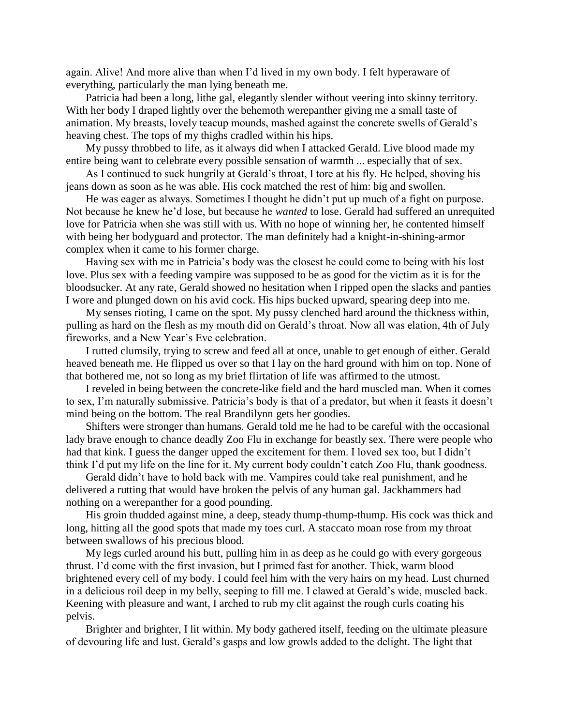again. Alive! And more alive than when I'd lived in my own body. I felt hyperaware of everything, particularly the man lying beneath me.

Patricia had been a long, lithe gal, elegantly slender without veering into skinny territory. With her body I draped lightly over the behemoth werepanther giving me a small taste of animation. My breasts, lovely teacup mounds, mashed against the concrete swells of Gerald's heaving chest. The tops of my thighs cradled within his hips.

My pussy throbbed to life, as it always did when I attacked Gerald. Live blood made my entire being want to celebrate every possible sensation of warmth ... especially that of sex.

As I continued to suck hungrily at Gerald's throat, I tore at his fly. He helped, shoving his jeans down as soon as he was able. His cock matched the rest of him: big and swollen.

He was eager as always. Sometimes I thought he didn't put up much of a fight on purpose. Not because he knew he'd lose, but because he *wanted* to lose. Gerald had suffered an unrequited love for Patricia when she was still with us. With no hope of winning her, he contented himself with being her bodyguard and protector. The man definitely had a knight-in-shining-armor complex when it came to his former charge.

Having sex with me in Patricia's body was the closest he could come to being with his lost love. Plus sex with a feeding vampire was supposed to be as good for the victim as it is for the bloodsucker. At any rate, Gerald showed no hesitation when I ripped open the slacks and panties I wore and plunged down on his avid cock. His hips bucked upward, spearing deep into me.

My senses rioting, I came on the spot. My pussy clenched hard around the thickness within, pulling as hard on the flesh as my mouth did on Gerald's throat. Now all was elation, 4th of July fireworks, and a New Year's Eve celebration.

I rutted clumsily, trying to screw and feed all at once, unable to get enough of either. Gerald heaved beneath me. He flipped us over so that I lay on the hard ground with him on top. None of that bothered me, not so long as my brief flirtation of life was affirmed to the utmost.

I reveled in being between the concrete-like field and the hard muscled man. When it comes to sex, I'm naturally submissive. Patricia's body is that of a predator, but when it feasts it doesn't mind being on the bottom. The real Brandilynn gets her goodies.

Shifters were stronger than humans. Gerald told me he had to be careful with the occasional lady brave enough to chance deadly Zoo Flu in exchange for beastly sex. There were people who had that kink. I guess the danger upped the excitement for them. I loved sex too, but I didn't think I'd put my life on the line for it. My current body couldn't catch Zoo Flu, thank goodness.

Gerald didn't have to hold back with me. Vampires could take real punishment, and he delivered a rutting that would have broken the pelvis of any human gal. Jackhammers had nothing on a werepanther for a good pounding.

His groin thudded against mine, a deep, steady thump-thump-thump. His cock was thick and long, hitting all the good spots that made my toes curl. A staccato moan rose from my throat between swallows of his precious blood.

My legs curled around his butt, pulling him in as deep as he could go with every gorgeous thrust. I'd come with the first invasion, but I primed fast for another. Thick, warm blood brightened every cell of my body. I could feel him with the very hairs on my head. Lust churned in a delicious roil deep in my belly, seeping to fill me. I clawed at Gerald's wide, muscled back. Keening with pleasure and want, I arched to rub my clit against the rough curls coating his pelvis.

Brighter and brighter, I lit within. My body gathered itself, feeding on the ultimate pleasure of devouring life and lust. Gerald's gasps and low growls added to the delight. The light that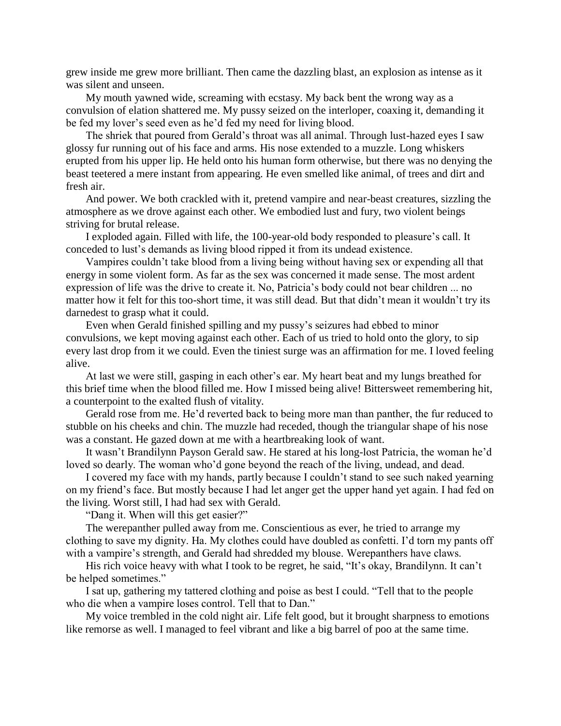grew inside me grew more brilliant. Then came the dazzling blast, an explosion as intense as it was silent and unseen.

My mouth yawned wide, screaming with ecstasy. My back bent the wrong way as a convulsion of elation shattered me. My pussy seized on the interloper, coaxing it, demanding it be fed my lover's seed even as he'd fed my need for living blood.

The shriek that poured from Gerald's throat was all animal. Through lust-hazed eyes I saw glossy fur running out of his face and arms. His nose extended to a muzzle. Long whiskers erupted from his upper lip. He held onto his human form otherwise, but there was no denying the beast teetered a mere instant from appearing. He even smelled like animal, of trees and dirt and fresh air.

And power. We both crackled with it, pretend vampire and near-beast creatures, sizzling the atmosphere as we drove against each other. We embodied lust and fury, two violent beings striving for brutal release.

I exploded again. Filled with life, the 100-year-old body responded to pleasure's call. It conceded to lust's demands as living blood ripped it from its undead existence.

Vampires couldn't take blood from a living being without having sex or expending all that energy in some violent form. As far as the sex was concerned it made sense. The most ardent expression of life was the drive to create it. No, Patricia's body could not bear children ... no matter how it felt for this too-short time, it was still dead. But that didn't mean it wouldn't try its darnedest to grasp what it could.

Even when Gerald finished spilling and my pussy's seizures had ebbed to minor convulsions, we kept moving against each other. Each of us tried to hold onto the glory, to sip every last drop from it we could. Even the tiniest surge was an affirmation for me. I loved feeling alive.

At last we were still, gasping in each other's ear. My heart beat and my lungs breathed for this brief time when the blood filled me. How I missed being alive! Bittersweet remembering hit, a counterpoint to the exalted flush of vitality.

Gerald rose from me. He'd reverted back to being more man than panther, the fur reduced to stubble on his cheeks and chin. The muzzle had receded, though the triangular shape of his nose was a constant. He gazed down at me with a heartbreaking look of want.

It wasn't Brandilynn Payson Gerald saw. He stared at his long-lost Patricia, the woman he'd loved so dearly. The woman who'd gone beyond the reach of the living, undead, and dead.

I covered my face with my hands, partly because I couldn't stand to see such naked yearning on my friend's face. But mostly because I had let anger get the upper hand yet again. I had fed on the living. Worst still, I had had sex with Gerald.

"Dang it. When will this get easier?"

The werepanther pulled away from me. Conscientious as ever, he tried to arrange my clothing to save my dignity. Ha. My clothes could have doubled as confetti. I'd torn my pants off with a vampire's strength, and Gerald had shredded my blouse. Werepanthers have claws.

His rich voice heavy with what I took to be regret, he said, "It's okay, Brandilynn. It can't be helped sometimes."

I sat up, gathering my tattered clothing and poise as best I could. "Tell that to the people who die when a vampire loses control. Tell that to Dan."

My voice trembled in the cold night air. Life felt good, but it brought sharpness to emotions like remorse as well. I managed to feel vibrant and like a big barrel of poo at the same time.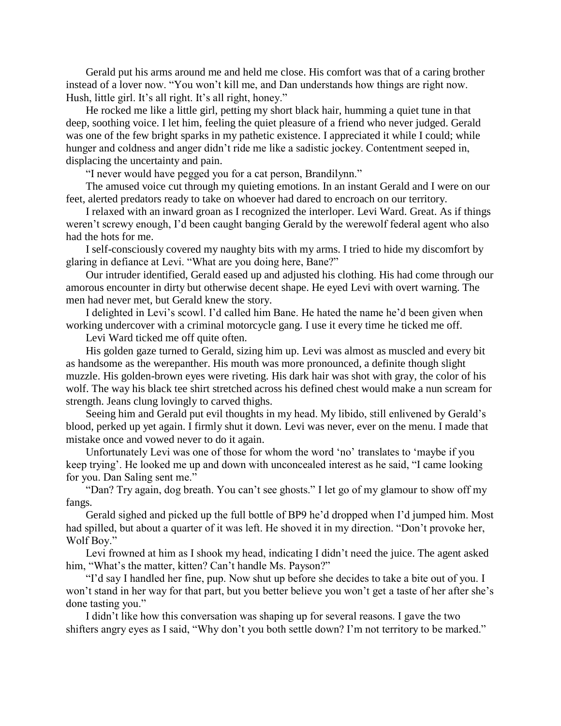Gerald put his arms around me and held me close. His comfort was that of a caring brother instead of a lover now. "You won't kill me, and Dan understands how things are right now. Hush, little girl. It's all right. It's all right, honey."

He rocked me like a little girl, petting my short black hair, humming a quiet tune in that deep, soothing voice. I let him, feeling the quiet pleasure of a friend who never judged. Gerald was one of the few bright sparks in my pathetic existence. I appreciated it while I could; while hunger and coldness and anger didn't ride me like a sadistic jockey. Contentment seeped in, displacing the uncertainty and pain.

"I never would have pegged you for a cat person, Brandilynn."

The amused voice cut through my quieting emotions. In an instant Gerald and I were on our feet, alerted predators ready to take on whoever had dared to encroach on our territory.

I relaxed with an inward groan as I recognized the interloper. Levi Ward. Great. As if things weren't screwy enough, I'd been caught banging Gerald by the werewolf federal agent who also had the hots for me.

I self-consciously covered my naughty bits with my arms. I tried to hide my discomfort by glaring in defiance at Levi. "What are you doing here, Bane?"

Our intruder identified, Gerald eased up and adjusted his clothing. His had come through our amorous encounter in dirty but otherwise decent shape. He eyed Levi with overt warning. The men had never met, but Gerald knew the story.

I delighted in Levi's scowl. I'd called him Bane. He hated the name he'd been given when working undercover with a criminal motorcycle gang. I use it every time he ticked me off.

Levi Ward ticked me off quite often.

His golden gaze turned to Gerald, sizing him up. Levi was almost as muscled and every bit as handsome as the werepanther. His mouth was more pronounced, a definite though slight muzzle. His golden-brown eyes were riveting. His dark hair was shot with gray, the color of his wolf. The way his black tee shirt stretched across his defined chest would make a nun scream for strength. Jeans clung lovingly to carved thighs.

Seeing him and Gerald put evil thoughts in my head. My libido, still enlivened by Gerald's blood, perked up yet again. I firmly shut it down. Levi was never, ever on the menu. I made that mistake once and vowed never to do it again.

Unfortunately Levi was one of those for whom the word 'no' translates to 'maybe if you keep trying'. He looked me up and down with unconcealed interest as he said, "I came looking for you. Dan Saling sent me."

"Dan? Try again, dog breath. You can't see ghosts." I let go of my glamour to show off my fangs.

Gerald sighed and picked up the full bottle of BP9 he'd dropped when I'd jumped him. Most had spilled, but about a quarter of it was left. He shoved it in my direction. "Don't provoke her, Wolf Boy."

Levi frowned at him as I shook my head, indicating I didn't need the juice. The agent asked him, "What's the matter, kitten? Can't handle Ms. Payson?"

"I'd say I handled her fine, pup. Now shut up before she decides to take a bite out of you. I won't stand in her way for that part, but you better believe you won't get a taste of her after she's done tasting you."

I didn't like how this conversation was shaping up for several reasons. I gave the two shifters angry eyes as I said, "Why don't you both settle down? I'm not territory to be marked."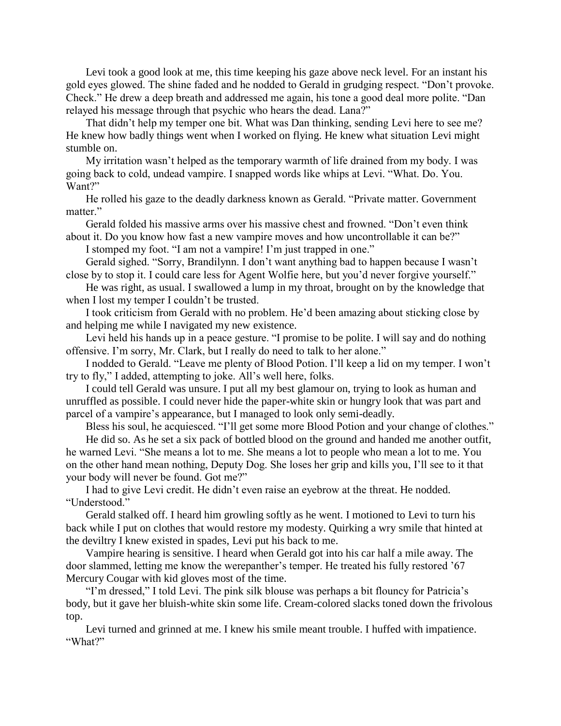Levi took a good look at me, this time keeping his gaze above neck level. For an instant his gold eyes glowed. The shine faded and he nodded to Gerald in grudging respect. "Don't provoke. Check." He drew a deep breath and addressed me again, his tone a good deal more polite. "Dan relayed his message through that psychic who hears the dead. Lana?"

That didn't help my temper one bit. What was Dan thinking, sending Levi here to see me? He knew how badly things went when I worked on flying. He knew what situation Levi might stumble on.

My irritation wasn't helped as the temporary warmth of life drained from my body. I was going back to cold, undead vampire. I snapped words like whips at Levi. "What. Do. You. Want?"

He rolled his gaze to the deadly darkness known as Gerald. "Private matter. Government matter."

Gerald folded his massive arms over his massive chest and frowned. "Don't even think about it. Do you know how fast a new vampire moves and how uncontrollable it can be?"

I stomped my foot. "I am not a vampire! I'm just trapped in one."

Gerald sighed. "Sorry, Brandilynn. I don't want anything bad to happen because I wasn't close by to stop it. I could care less for Agent Wolfie here, but you'd never forgive yourself."

He was right, as usual. I swallowed a lump in my throat, brought on by the knowledge that when I lost my temper I couldn't be trusted.

I took criticism from Gerald with no problem. He'd been amazing about sticking close by and helping me while I navigated my new existence.

Levi held his hands up in a peace gesture. "I promise to be polite. I will say and do nothing offensive. I'm sorry, Mr. Clark, but I really do need to talk to her alone."

I nodded to Gerald. "Leave me plenty of Blood Potion. I'll keep a lid on my temper. I won't try to fly," I added, attempting to joke. All's well here, folks.

I could tell Gerald was unsure. I put all my best glamour on, trying to look as human and unruffled as possible. I could never hide the paper-white skin or hungry look that was part and parcel of a vampire's appearance, but I managed to look only semi-deadly.

Bless his soul, he acquiesced. "I'll get some more Blood Potion and your change of clothes."

He did so. As he set a six pack of bottled blood on the ground and handed me another outfit, he warned Levi. "She means a lot to me. She means a lot to people who mean a lot to me. You on the other hand mean nothing, Deputy Dog. She loses her grip and kills you, I'll see to it that your body will never be found. Got me?"

I had to give Levi credit. He didn't even raise an eyebrow at the threat. He nodded. "Understood."

Gerald stalked off. I heard him growling softly as he went. I motioned to Levi to turn his back while I put on clothes that would restore my modesty. Quirking a wry smile that hinted at the deviltry I knew existed in spades, Levi put his back to me.

Vampire hearing is sensitive. I heard when Gerald got into his car half a mile away. The door slammed, letting me know the werepanther's temper. He treated his fully restored '67 Mercury Cougar with kid gloves most of the time.

"I'm dressed," I told Levi. The pink silk blouse was perhaps a bit flouncy for Patricia's body, but it gave her bluish-white skin some life. Cream-colored slacks toned down the frivolous top.

Levi turned and grinned at me. I knew his smile meant trouble. I huffed with impatience. "What?"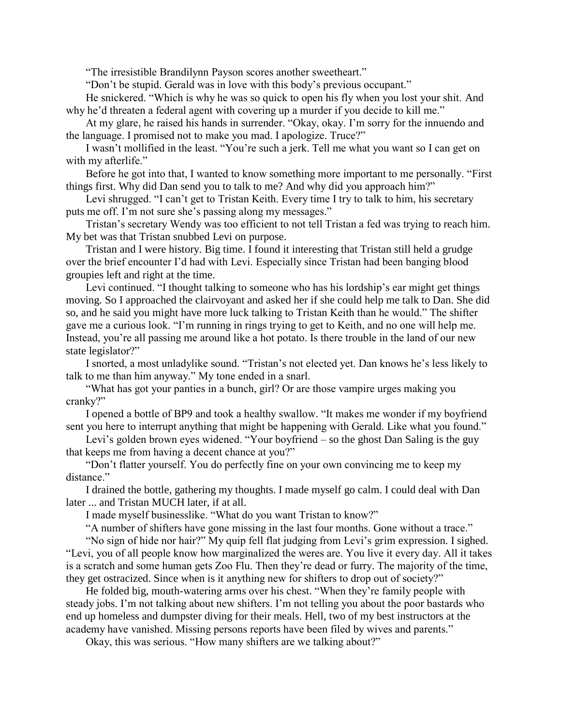"The irresistible Brandilynn Payson scores another sweetheart."

"Don't be stupid. Gerald was in love with this body's previous occupant."

He snickered. "Which is why he was so quick to open his fly when you lost your shit. And why he'd threaten a federal agent with covering up a murder if you decide to kill me."

At my glare, he raised his hands in surrender. "Okay, okay. I'm sorry for the innuendo and the language. I promised not to make you mad. I apologize. Truce?"

I wasn't mollified in the least. "You're such a jerk. Tell me what you want so I can get on with my afterlife."

Before he got into that, I wanted to know something more important to me personally. "First things first. Why did Dan send you to talk to me? And why did you approach him?"

Levi shrugged. "I can't get to Tristan Keith. Every time I try to talk to him, his secretary puts me off. I'm not sure she's passing along my messages."

Tristan's secretary Wendy was too efficient to not tell Tristan a fed was trying to reach him. My bet was that Tristan snubbed Levi on purpose.

Tristan and I were history. Big time. I found it interesting that Tristan still held a grudge over the brief encounter I'd had with Levi. Especially since Tristan had been banging blood groupies left and right at the time.

Levi continued. "I thought talking to someone who has his lordship's ear might get things moving. So I approached the clairvoyant and asked her if she could help me talk to Dan. She did so, and he said you might have more luck talking to Tristan Keith than he would." The shifter gave me a curious look. "I'm running in rings trying to get to Keith, and no one will help me. Instead, you're all passing me around like a hot potato. Is there trouble in the land of our new state legislator?"

I snorted, a most unladylike sound. "Tristan's not elected yet. Dan knows he's less likely to talk to me than him anyway." My tone ended in a snarl.

"What has got your panties in a bunch, girl? Or are those vampire urges making you cranky?"

I opened a bottle of BP9 and took a healthy swallow. "It makes me wonder if my boyfriend sent you here to interrupt anything that might be happening with Gerald. Like what you found."

Levi's golden brown eyes widened. "Your boyfriend – so the ghost Dan Saling is the guy that keeps me from having a decent chance at you?"

"Don't flatter yourself. You do perfectly fine on your own convincing me to keep my distance."

I drained the bottle, gathering my thoughts. I made myself go calm. I could deal with Dan later ... and Tristan MUCH later, if at all.

I made myself businesslike. "What do you want Tristan to know?"

"A number of shifters have gone missing in the last four months. Gone without a trace."

"No sign of hide nor hair?" My quip fell flat judging from Levi's grim expression. I sighed. "Levi, you of all people know how marginalized the weres are. You live it every day. All it takes is a scratch and some human gets Zoo Flu. Then they're dead or furry. The majority of the time, they get ostracized. Since when is it anything new for shifters to drop out of society?"

He folded big, mouth-watering arms over his chest. "When they're family people with steady jobs. I'm not talking about new shifters. I'm not telling you about the poor bastards who end up homeless and dumpster diving for their meals. Hell, two of my best instructors at the academy have vanished. Missing persons reports have been filed by wives and parents."

Okay, this was serious. "How many shifters are we talking about?"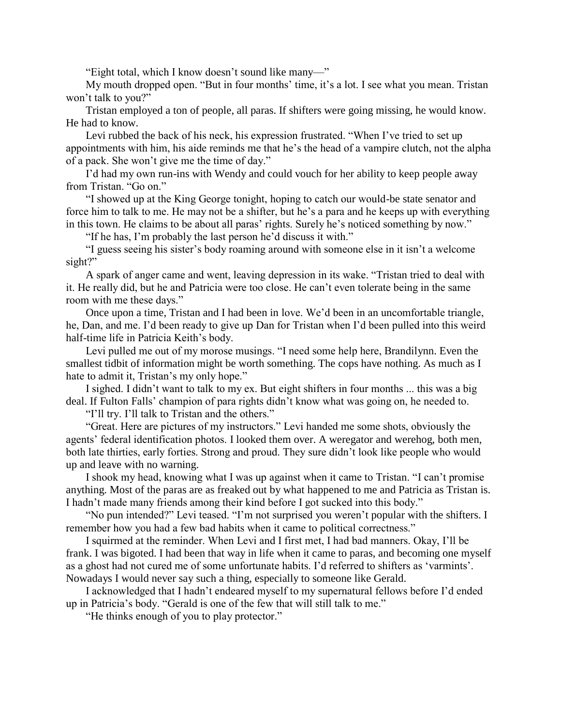"Eight total, which I know doesn't sound like many—"

My mouth dropped open. "But in four months' time, it's a lot. I see what you mean. Tristan won't talk to you?"

Tristan employed a ton of people, all paras. If shifters were going missing, he would know. He had to know.

Levi rubbed the back of his neck, his expression frustrated. "When I've tried to set up appointments with him, his aide reminds me that he's the head of a vampire clutch, not the alpha of a pack. She won't give me the time of day."

I'd had my own run-ins with Wendy and could vouch for her ability to keep people away from Tristan. "Go on."

"I showed up at the King George tonight, hoping to catch our would-be state senator and force him to talk to me. He may not be a shifter, but he's a para and he keeps up with everything in this town. He claims to be about all paras' rights. Surely he's noticed something by now."

"If he has, I'm probably the last person he'd discuss it with."

"I guess seeing his sister's body roaming around with someone else in it isn't a welcome sight?"

A spark of anger came and went, leaving depression in its wake. "Tristan tried to deal with it. He really did, but he and Patricia were too close. He can't even tolerate being in the same room with me these days."

Once upon a time, Tristan and I had been in love. We'd been in an uncomfortable triangle, he, Dan, and me. I'd been ready to give up Dan for Tristan when I'd been pulled into this weird half-time life in Patricia Keith's body.

Levi pulled me out of my morose musings. "I need some help here, Brandilynn. Even the smallest tidbit of information might be worth something. The cops have nothing. As much as I hate to admit it, Tristan's my only hope."

I sighed. I didn't want to talk to my ex. But eight shifters in four months ... this was a big deal. If Fulton Falls' champion of para rights didn't know what was going on, he needed to.

"I'll try. I'll talk to Tristan and the others."

"Great. Here are pictures of my instructors." Levi handed me some shots, obviously the agents' federal identification photos. I looked them over. A weregator and werehog, both men, both late thirties, early forties. Strong and proud. They sure didn't look like people who would up and leave with no warning.

I shook my head, knowing what I was up against when it came to Tristan. "I can't promise anything. Most of the paras are as freaked out by what happened to me and Patricia as Tristan is. I hadn't made many friends among their kind before I got sucked into this body."

"No pun intended?" Levi teased. "I'm not surprised you weren't popular with the shifters. I remember how you had a few bad habits when it came to political correctness."

I squirmed at the reminder. When Levi and I first met, I had bad manners. Okay, I'll be frank. I was bigoted. I had been that way in life when it came to paras, and becoming one myself as a ghost had not cured me of some unfortunate habits. I'd referred to shifters as 'varmints'. Nowadays I would never say such a thing, especially to someone like Gerald.

I acknowledged that I hadn't endeared myself to my supernatural fellows before I'd ended up in Patricia's body. "Gerald is one of the few that will still talk to me."

"He thinks enough of you to play protector."